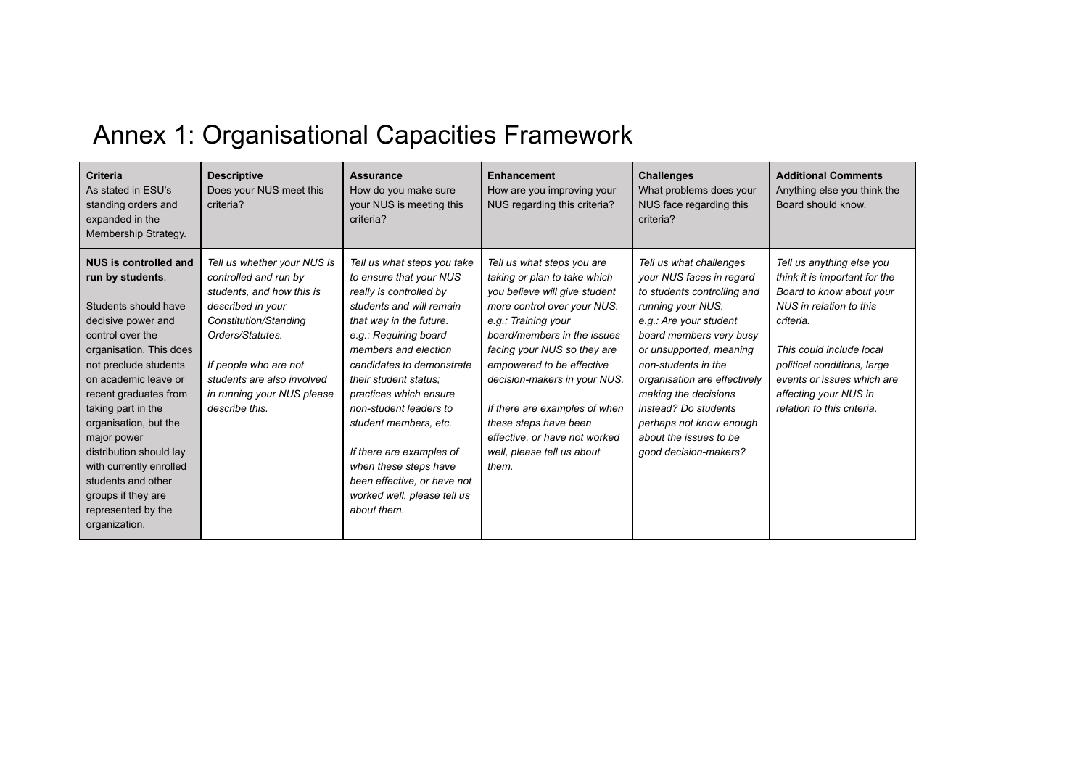## Annex 1: Organisational Capacities Framework

| <b>Criteria</b><br>As stated in ESU's<br>standing orders and<br>expanded in the<br>Membership Strategy.                                                                                                                                                                                                                                                                                                                        | <b>Descriptive</b><br>Does your NUS meet this<br>criteria?                                                                                                                                                                                                 | <b>Assurance</b><br>How do you make sure<br>your NUS is meeting this<br>criteria?                                                                                                                                                                                                                                                                                                                                                                              | <b>Enhancement</b><br>How are you improving your<br>NUS regarding this criteria?                                                                                                                                                                                                                                                                                                                               | <b>Challenges</b><br>What problems does your<br>NUS face regarding this<br>criteria?                                                                                                                                                                                                                                                                                         | <b>Additional Comments</b><br>Anything else you think the<br>Board should know.                                                                                                                                                                                                |
|--------------------------------------------------------------------------------------------------------------------------------------------------------------------------------------------------------------------------------------------------------------------------------------------------------------------------------------------------------------------------------------------------------------------------------|------------------------------------------------------------------------------------------------------------------------------------------------------------------------------------------------------------------------------------------------------------|----------------------------------------------------------------------------------------------------------------------------------------------------------------------------------------------------------------------------------------------------------------------------------------------------------------------------------------------------------------------------------------------------------------------------------------------------------------|----------------------------------------------------------------------------------------------------------------------------------------------------------------------------------------------------------------------------------------------------------------------------------------------------------------------------------------------------------------------------------------------------------------|------------------------------------------------------------------------------------------------------------------------------------------------------------------------------------------------------------------------------------------------------------------------------------------------------------------------------------------------------------------------------|--------------------------------------------------------------------------------------------------------------------------------------------------------------------------------------------------------------------------------------------------------------------------------|
| <b>NUS is controlled and</b><br>run by students.<br>Students should have<br>decisive power and<br>control over the<br>organisation. This does<br>not preclude students<br>on academic leave or<br>recent graduates from<br>taking part in the<br>organisation, but the<br>major power<br>distribution should lay<br>with currently enrolled<br>students and other<br>groups if they are<br>represented by the<br>organization. | Tell us whether your NUS is<br>controlled and run by<br>students, and how this is<br>described in your<br>Constitution/Standing<br>Orders/Statutes.<br>If people who are not<br>students are also involved<br>in running your NUS please<br>describe this. | Tell us what steps you take<br>to ensure that your NUS<br>really is controlled by<br>students and will remain<br>that way in the future.<br>e.g.: Requiring board<br>members and election<br>candidates to demonstrate<br>their student status:<br>practices which ensure<br>non-student leaders to<br>student members, etc.<br>If there are examples of<br>when these steps have<br>been effective, or have not<br>worked well, please tell us<br>about them. | Tell us what steps you are<br>taking or plan to take which<br>you believe will give student<br>more control over your NUS.<br>e.g.: Training your<br>board/members in the issues<br>facing your NUS so they are<br>empowered to be effective<br>decision-makers in your NUS.<br>If there are examples of when<br>these steps have been<br>effective, or have not worked<br>well, please tell us about<br>them. | Tell us what challenges<br>your NUS faces in regard<br>to students controlling and<br>running your NUS.<br>e.g.: Are your student<br>board members very busy<br>or unsupported, meaning<br>non-students in the<br>organisation are effectively<br>making the decisions<br>instead? Do students<br>perhaps not know enough<br>about the issues to be<br>qood decision-makers? | Tell us anything else you<br>think it is important for the<br>Board to know about your<br>NUS in relation to this<br>criteria.<br>This could include local<br>political conditions, large<br>events or issues which are<br>affecting your NUS in<br>relation to this criteria. |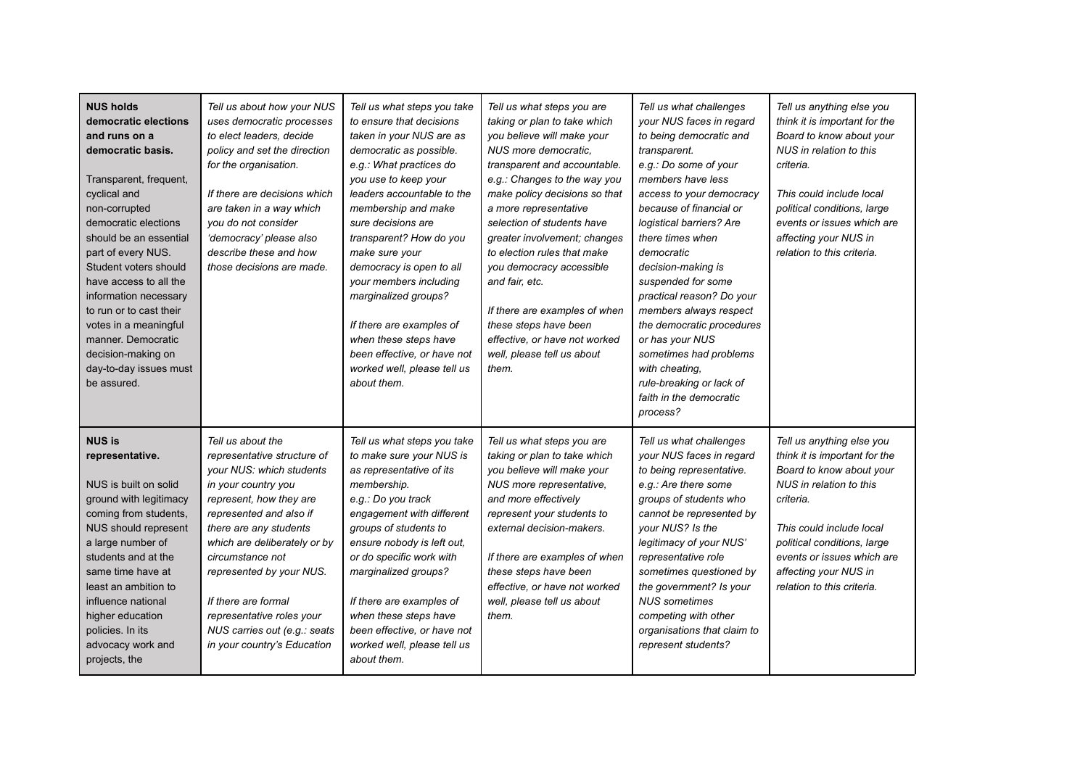| <b>NUS holds</b><br>democratic elections<br>and runs on a<br>democratic basis.<br>Transparent, frequent,<br>cyclical and<br>non-corrupted<br>democratic elections<br>should be an essential<br>part of every NUS.<br>Student voters should<br>have access to all the<br>information necessary<br>to run or to cast their<br>votes in a meaningful<br>manner. Democratic<br>decision-making on<br>day-to-day issues must<br>be assured. | Tell us about how your NUS<br>uses democratic processes<br>to elect leaders, decide<br>policy and set the direction<br>for the organisation.<br>If there are decisions which<br>are taken in a way which<br>you do not consider<br>'democracy' please also<br>describe these and how<br>those decisions are made.                                                                      | Tell us what steps you take<br>to ensure that decisions<br>taken in your NUS are as<br>democratic as possible.<br>e.g.: What practices do<br>you use to keep your<br>leaders accountable to the<br>membership and make<br>sure decisions are<br>transparent? How do you<br>make sure your<br>democracy is open to all<br>your members including<br>marginalized groups?<br>If there are examples of<br>when these steps have<br>been effective, or have not<br>worked well, please tell us<br>about them. | Tell us what steps you are<br>taking or plan to take which<br>you believe will make your<br>NUS more democratic,<br>transparent and accountable.<br>e.g.: Changes to the way you<br>make policy decisions so that<br>a more representative<br>selection of students have<br>greater involvement; changes<br>to election rules that make<br>you democracy accessible<br>and fair, etc.<br>If there are examples of when<br>these steps have been<br>effective, or have not worked<br>well, please tell us about<br>them. | Tell us what challenges<br>your NUS faces in regard<br>to being democratic and<br>transparent.<br>e.g.: Do some of your<br>members have less<br>access to your democracy<br>because of financial or<br>logistical barriers? Are<br>there times when<br>democratic<br>decision-making is<br>suspended for some<br>practical reason? Do your<br>members always respect<br>the democratic procedures<br>or has your NUS<br>sometimes had problems<br>with cheating.<br>rule-breaking or lack of<br>faith in the democratic<br>process? | Tell us anything else you<br>think it is important for the<br>Board to know about your<br>NUS in relation to this<br>criteria.<br>This could include local<br>political conditions, large<br>events or issues which are<br>affecting your NUS in<br>relation to this criteria. |
|----------------------------------------------------------------------------------------------------------------------------------------------------------------------------------------------------------------------------------------------------------------------------------------------------------------------------------------------------------------------------------------------------------------------------------------|----------------------------------------------------------------------------------------------------------------------------------------------------------------------------------------------------------------------------------------------------------------------------------------------------------------------------------------------------------------------------------------|-----------------------------------------------------------------------------------------------------------------------------------------------------------------------------------------------------------------------------------------------------------------------------------------------------------------------------------------------------------------------------------------------------------------------------------------------------------------------------------------------------------|-------------------------------------------------------------------------------------------------------------------------------------------------------------------------------------------------------------------------------------------------------------------------------------------------------------------------------------------------------------------------------------------------------------------------------------------------------------------------------------------------------------------------|-------------------------------------------------------------------------------------------------------------------------------------------------------------------------------------------------------------------------------------------------------------------------------------------------------------------------------------------------------------------------------------------------------------------------------------------------------------------------------------------------------------------------------------|--------------------------------------------------------------------------------------------------------------------------------------------------------------------------------------------------------------------------------------------------------------------------------|
| <b>NUS is</b><br>representative.<br>NUS is built on solid<br>ground with legitimacy<br>coming from students,<br>NUS should represent<br>a large number of<br>students and at the<br>same time have at<br>least an ambition to<br>influence national<br>higher education<br>policies. In its<br>advocacy work and<br>projects, the                                                                                                      | Tell us about the<br>representative structure of<br>your NUS: which students<br>in your country you<br>represent, how they are<br>represented and also if<br>there are any students<br>which are deliberately or by<br>circumstance not<br>represented by your NUS.<br>If there are formal<br>representative roles your<br>NUS carries out (e.g.: seats<br>in your country's Education | Tell us what steps you take<br>to make sure your NUS is<br>as representative of its<br>membership.<br>e.g.: Do you track<br>engagement with different<br>groups of students to<br>ensure nobody is left out,<br>or do specific work with<br>marginalized groups?<br>If there are examples of<br>when these steps have<br>been effective, or have not<br>worked well, please tell us<br>about them.                                                                                                        | Tell us what steps you are<br>taking or plan to take which<br>you believe will make your<br>NUS more representative,<br>and more effectively<br>represent your students to<br>external decision-makers.<br>If there are examples of when<br>these steps have been<br>effective, or have not worked<br>well, please tell us about<br>them.                                                                                                                                                                               | Tell us what challenges<br>your NUS faces in regard<br>to being representative.<br>e.g.: Are there some<br>groups of students who<br>cannot be represented by<br>your NUS? Is the<br>legitimacy of your NUS'<br>representative role<br>sometimes questioned by<br>the government? Is your<br><b>NUS</b> sometimes<br>competing with other<br>organisations that claim to<br>represent students?                                                                                                                                     | Tell us anything else you<br>think it is important for the<br>Board to know about your<br>NUS in relation to this<br>criteria.<br>This could include local<br>political conditions, large<br>events or issues which are<br>affecting your NUS in<br>relation to this criteria. |